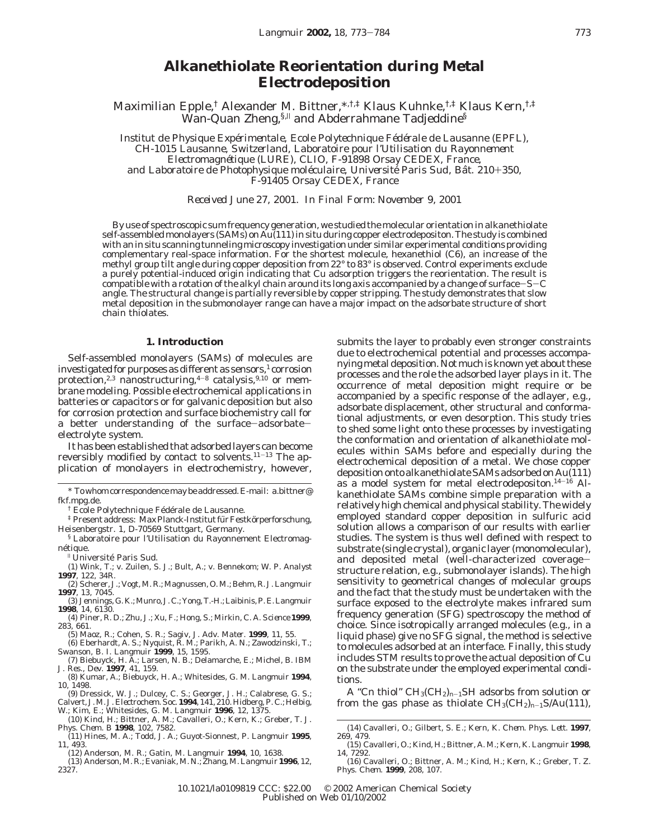# **Alkanethiolate Reorientation during Metal Electrodeposition**

Maximilian Epple,† Alexander M. Bittner,\*,†,‡ Klaus Kuhnke,†,‡ Klaus Kern,†,‡  $\bar{\text{W}}$ an-Quan Zheng,<sup>§,||</sup> and Abderrahmane Tadjeddine<sup>§</sup>

*Institut de Physique Expe*´*rimentale, Ecole Polytechnique Fe*´*de*´*rale de Lausanne (EPFL), CH-1015 Lausanne, Switzerland, Laboratoire pour l'Utilisation du Rayonnement Electromagne*´*tique (LURE), CLIO, F-91898 Orsay CEDEX, France, and Laboratoire de Photophysique mole*´*culaire, Universite*´ *Paris Sud, Ba*ˆ*t. 210*+*350, F-91405 Orsay CEDEX, France*

*Received June 27, 2001. In Final Form: November 9, 2001*

By use of spectroscopic sum frequency generation, we studied the molecular orientation in alkanethiolate self-assembled monolayers (SAMs) on Au(111) in situ during copper electrodepositon. The study is combined with an in situ scanning tunneling microscopy investigation under similar experimental conditions providing complementary real-space information. For the shortest molecule, hexanethiol (C6), an increase of the methyl group tilt angle during copper deposition from 22° to 83° is observed. Control experiments exclude a purely potential-induced origin indicating that Cu adsorption triggers the reorientation. The result is compatible with a rotation of the alkyl chain around its long axis accompanied by a change of surface-S-<sup>C</sup> angle. The structural change is partially reversible by copper stripping. The study demonstrates that slow metal deposition in the submonolayer range can have a major impact on the adsorbate structure of short chain thiolates.

# **1. Introduction**

Self-assembled monolayers (SAMs) of molecules are investigated for purposes as different as sensors, $1$  corrosion protection,<sup>2,3</sup> nanostructuring,<sup>4-8</sup> catalysis,<sup>9,10</sup> or membrane modeling. Possible electrochemical applications in batteries or capacitors or for galvanic deposition but also for corrosion protection and surface biochemistry call for a better understanding of the surface-adsorbateelectrolyte system.

It has been established that adsorbed layers can become reversibly modified by contact to solvents.11-<sup>13</sup> The application of monolayers in electrochemistry, however,

(13) Anderson, M. R.; Evaniak, M. N.; Zhang, M. *Langmuir* **1996**, *12*, 2327.

submits the layer to probably even stronger constraints due to electrochemical potential and processes accompanying metal deposition. Not much is known yet about these processes and the role the adsorbed layer plays in it. The occurrence of metal deposition might require or be accompanied by a specific response of the adlayer, e.g., adsorbate displacement, other structural and conformational adjustments, or even desorption. This study tries to shed some light onto these processes by investigating the conformation and orientation of alkanethiolate molecules within SAMs before and especially during the electrochemical deposition of a metal. We chose copper deposition onto alkanethiolate SAMs adsorbed on Au(111) as a model system for metal electrodepositon.14-<sup>16</sup> Alkanethiolate SAMs combine simple preparation with a relatively high chemical and physical stability. The widely employed standard copper deposition in sulfuric acid solution allows a comparison of our results with earlier studies. The system is thus well defined with respect to substrate (single crystal), organic layer (monomolecular), and deposited metal (well-characterized coveragestructure relation, e.g., submonolayer islands). The high sensitivity to geometrical changes of molecular groups and the fact that the study must be undertaken with the surface exposed to the electrolyte makes infrared sum frequency generation (SFG) spectroscopy the method of choice. Since isotropically arranged molecules (e.g., in a liquid phase) give no SFG signal, the method is selective to molecules adsorbed at an interface. Finally, this study includes STM results to prove the actual deposition of Cu on the substrate under the employed experimental conditions.

A "C*<sup>n</sup>* thiol" CH3(CH2)*<sup>n</sup>*-1SH adsorbs from solution or from the gas phase as thiolate  $CH_3(CH_2)_{n-1}S/Au(111)$ ,

<sup>\*</sup> To whom correspondence may be addressed. E-mail: a.bittner@ fkf.mpg.de.

<sup>&</sup>lt;sup>†</sup> Ecole Polytechnique Fédérale de Lausanne.

<sup>&</sup>lt;sup>‡</sup> Present address: Max Planck-Institut für Festkörperforschung, Heisenbergstr. 1, D-70569 Stuttgart, Germany.

<sup>§</sup> Laboratoire pour l'Utilisation du Rayonnement Electromagnétique.

<sup>|</sup> Universite´ Paris Sud.

<sup>(1)</sup> Wink, T.; v. Zuilen, S. J.; Bult, A.; v. Bennekom; W. P. *Analyst* **1997**, *122*, 34R.

<sup>(2)</sup> Scherer, J.; Vogt, M. R.; Magnussen, O. M.; Behm, R. J. *Langmuir* **1997**, *13*, 7045.

<sup>(3)</sup> Jennings, G. K.; Munro, J. C.; Yong, T.-H.; Laibinis, P. E.*Langmuir* **1998***, 14,* 6130.

<sup>(4)</sup> Piner, R. D.; Zhu, J.; Xu, F.; Hong, S.; Mirkin, C. A. *Science* **1999**, *283*, 661.

<sup>(5)</sup> Maoz, R.; Cohen, S. R.; Sagiv, J. *Adv. Mater.* **1999**, *11*, 55.

<sup>(6)</sup> Eberhardt, A. S.; Nyquist, R. M.; Parikh, A. N.; Zawodzinski, T.; Swanson, B. I. *Langmuir* **1999**, *15*, 1595.

<sup>(7)</sup> Biebuyck, H. A.; Larsen, N. B.; Delamarche, E.; Michel, B. *IBM J. Res., Dev.* **1997**, *41*, 159.

<sup>(8)</sup> Kumar, A.; Biebuyck, H. A.; Whitesides, G. M. *Langmuir* **1994**, *10*, 1498.

<sup>(9)</sup> Dressick, W. J.; Dulcey, C. S.; Georger, J. H.; Calabrese, G. S.; Calvert, J. M. *J. Electrochem. Soc.* **1994**,  $141$ , 210. Hidberg, P. C.; Helbig, W.; Kim, E.; Whitesides, G. M. *Langmuir* **1996**,  $12$ , 1375.<br>(10) Ki

*<sup>11</sup>*, 493. (12) Anderson, M. R.; Gatin, M. *Langmuir* **1994**, *10*, 1638.

<sup>(14)</sup> Cavalleri, O.; Gilbert, S. E.; Kern, K. *Chem. Phys. Lett.* **1997**, *269,* 479.

<sup>(15)</sup> Cavalleri, O.; Kind, H.; Bittner, A. M.; Kern, K. *Langmuir* **1998**, *14*, 7292.

<sup>(16)</sup> Cavalleri, O.; Bittner, A. M.; Kind, H.; Kern, K.; Greber, T. *Z. Phys. Chem.* **1999**, *208*, 107.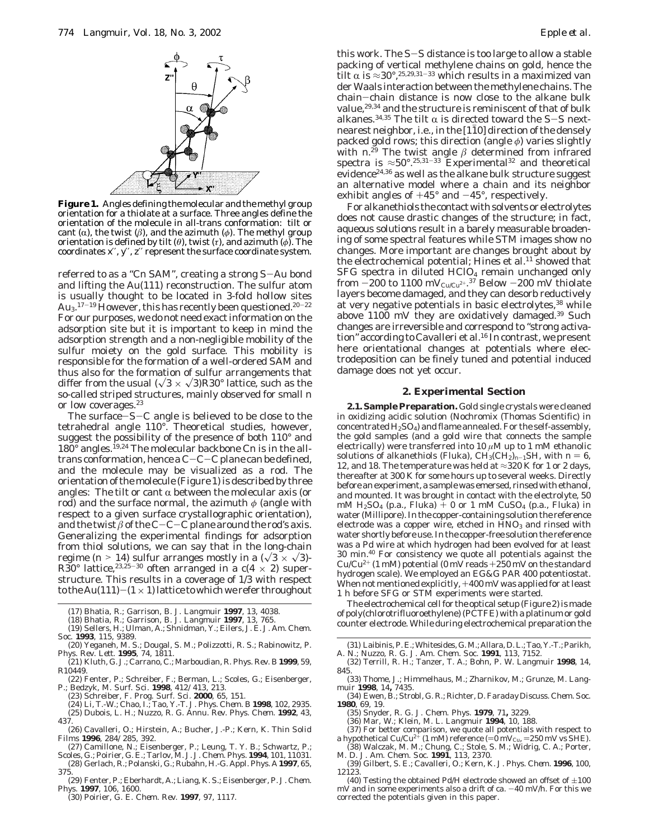

**Figure 1.** Angles defining the molecular and the methyl group orientation for a thiolate at a surface. Three angles define the orientation of the molecule in all-trans conformation: tilt or cant ( $\alpha$ ), the twist ( $\beta$ ), and the azimuth ( $\phi$ ). The methyl group orientation is defined by tilt (*θ*), twist (*τ*), and azimuth (*φ*). The coordinates *x*′′, *y*′′, *z*′′ represent the surface coordinate system.

referred to as a "C*<sup>n</sup>* SAM", creating a strong S-Au bond and lifting the Au(111) reconstruction. The sulfur atom is usually thought to be located in 3-fold hollow sites  $\rm{Au_{3}.^{17-19}However, this \, has \, recently \, been \, questioned. ^{20-22}$ For our purposes, we do not need exact information on the adsorption site but it is important to keep in mind the adsorption strength and a non-negligible mobility of the sulfur moiety on the gold surface. This mobility is responsible for the formation of a well-ordered SAM and thus also for the formation of sulfur arrangements that differ from the usual  $(\sqrt{3} \times \sqrt{3})R30^\circ$  lattice, such as the so-called striped structures, mainly observed for small *n* or low coverages.23

The surface-S-C angle is believed to be close to the tetrahedral angle 110°. Theoretical studies, however, suggest the possibility of the presence of both 110° and  $180^{\circ}$  angles.<sup>19,24</sup> The molecular backbone Cn is in the alltrans conformation, hence a C-C-C plane can be defined, and the molecule may be visualized as a rod. The orientation of the molecule (Figure 1) is described by three angles: The tilt or cant  $\alpha$  between the molecular axis (or rod) and the surface normal, the azimuth *φ* (angle with respect to a given surface crystallographic orientation), and the twist  $\beta$  of the C-C-C plane around the rod's axis. Generalizing the experimental findings for adsorption from thiol solutions, we can say that in the long-chain regime ( $n > 14$ ) sulfur arranges mostly in a ( $\sqrt{3} \times \sqrt{3}$ )regime ( $n > 14$ ) sulfur arranges mostly in a ( $\sqrt{3} \times \sqrt{3}$ )-<br>R30° lattice,<sup>23,25-30</sup> often arranged in a c( $4 \times 2$ ) superstructure. This results in a coverage of 1/3 with respect to the Au(111)-(1  $\times$  1) lattice to which we refer throughout

- (19) Sellers, H.; Ulman, A.; Shnidman, Y.; Eilers, J. E. *J. Am. Chem. Soc.* **1993**, *115,* 9389.
- (20) Yeganeh, M. S.; Dougal, S. M.; Polizzotti, R. S.; Rabinowitz, P. *Phys. Rev. Lett.* **1995**, *74,* 1811.
- (21) Kluth, G. J.; Carrano, C.; Marboudian, R. *Phys. Rev. B* **1999**, *59*, R10449.
- (22) Fenter, P.; Schreiber, F.; Berman, L.; Scoles, G.; Eisenberger, P.; Bedzyk, M. *Surf. Sci.* **1998**, *412/413*, 213.
	-
- (23) Schreiber, F. *Prog. Surf. Sci.* **2000**, *65,* 151. (24) Li, T.-W.; Chao, I.; Tao, Y.-T. *J. Phys. Chem. B* **1998**, *102,* 2935. (25) Dubois, L. H.; Nuzzo, R. G. *Annu. Rev. Phys. Chem.* **1992**, *43,* 437.
- (26) Cavalleri, O.; Hirstein, A.; Bucher, J.-P.; Kern, K. *Thin Solid Films* **1996**, *284/285*, 392.
- (27) Camillone, N.; Eisenberger, P.; Leung, T. Y. B.; Schwartz, P.; Scoles, G.; Poirier, G. E.; Tarlov, M. J. *J. Chem. Phys.* **1994**, *101,* 11031.
- (28) Gerlach, R.; Polanski, G.; Rubahn, H.-G. *Appl. Phys. A* **1997**, *65*, 375.
- (29) Fenter, P.; Eberhardt, A.; Liang, K. S.; Eisenberger, P. *J. Chem.*
- *Phys.* **1997**, *106*, 1600. (30) Poirier, G. E. *Chem. Rev.* **1997**, *97*, 1117.

this work. The S-S distance is too large to allow a stable packing of vertical methylene chains on gold, hence the tilt  $\alpha$  is ≈30°,<sup>25,29,31-33</sup> which results in a maximized van der Waals interaction between the methylene chains. The chain-chain distance is now close to the alkane bulk chain—chain distance is now close to the alkane bulk<br>value,<sup>29,34</sup> and the structure is reminiscent of that of bulk alkanes.<sup>34,35</sup> The tilt  $\alpha$  is directed toward the S-S nextnearest neighbor, i.e., in the [110] direction of the densely packed gold rows; this direction (angle *φ*) varies slightly with  $n^{29}$  The twist angle  $\beta$  determined from infrared spectra is ≈50°.<sup>25,31-33</sup> Experimental<sup>32</sup> and theoretical evidence<sup>24,36</sup> as well as the alkane bulk structure suggest an alternative model where a chain and its neighbor exhibit angles of  $+45^{\circ}$  and  $-45^{\circ}$  , respectively.

For alkanethiols the contact with solvents or electrolytes does not cause drastic changes of the structure; in fact, aqueous solutions result in a barely measurable broadening of some spectral features while STM images show no changes. More important are changes brought about by the electrochemical potential; Hines et al.<sup>11</sup> showed that SFG spectra in diluted HClO<sub>4</sub> remain unchanged only from  $-200$  to  $1100 \mathrm{~mV_{CuCu^{2+}}.}^{37}$  Below  $-200 \mathrm{~mV}$  thiolate<br>lavers become damaged, and they can desorb reductively layers become damaged, and they can desorb reductively at very negative potentials in basic electrolytes,<sup>38</sup> while above 1100 mV they are oxidatively damaged.39 Such changes are irreversible and correspond to "strong activation" according to Cavalleri et al.16 In contrast, we present here orientational changes at potentials where electrodeposition can be finely tuned and potential induced damage does not yet occur.

#### **2. Experimental Section**

**2.1. Sample Preparation.** Gold single crystals were cleaned in oxidizing acidic solution (Nochromix (Thomas Scientific) in concentrated  $H_2SO_4$ ) and flame annealed. For the self-assembly, the gold samples (and a gold wire that connects the sample electrically) were transferred into 10 *µ*M up to 1 mM ethanolic solutions of alkanethiols (Fluka),  $CH_3(CH_2)_{n-1}SH$ , with  $n = 6$ , 12, and 18. The temperature was held at  $\approx$ 320 K for 1 or 2 days, thereafter at 300 K for some hours up to several weeks. Directly before an experiment, a sample was emersed, rinsed with ethanol, and mounted. It was brought in contact with the electrolyte, 50 mM H<sub>2</sub>SO<sub>4</sub> (p.a., Fluka)  $\overline{+}$  0 or 1 mM CuSO<sub>4</sub> (p.a., Fluka) in water (Millipore). In the copper-containing solution the reference electrode was a copper wire, etched in HNO<sub>3</sub> and rinsed with water shortly before use. In the copper-free solution the reference was a Pd wire at which hydrogen had been evolved for at least 30 min.40 For consistency we quote all potentials against the Cu/Cu<sup>2+</sup> (1 mM) potential (0 mV reads  $+250$  mV on the standard hydrogen scale). We employed an EG&G PAR 400 potentiostat. When not mentioned explicitly, +400 mV was applied for at least 1 h before SFG or STM experiments were started.

The electrochemical cell for the optical setup (Figure 2) is made of poly(chlorotrifluoroethylene) (PCTFE) with a platinum or gold counter electrode. While during electrochemical preparation the

(31) Laibinis, P. E.; Whitesides, G. M.; Allara, D. L.; Tao, Y.-T.; Parikh, A. N.; Nuzzo, R. G. *J. Am. Chem. Soc.* **1991**, *113*, 7152.

- (32) Terrill, R. H.; Tanzer, T. A.; Bohn, P. W. *Langmuir* **1998**, *14*, 845.
- (33) Thome, J.; Himmelhaus, M.; Zharnikov, M.; Grunze, M. *Langmuir* **1998**, *14***,** 7435.
- (34) Ewen, B.; Strobl, G. R.; Richter, D. *Faraday Discuss. Chem. Soc.* **1980**, *69,* 19.
	- (35) Snyder, R. G. *J. Chem. Phys.* **1979**, *71***,** 3229.
	- (36) Mar, W.; Klein, M. L. *Langmuir* **1994**, *10*, 188.
- (37) For better comparison, we quote all potentials with respect to a hypothetical Cu/Cu<sup>2+</sup> (1 mM) reference (=0 mV<sub>Cu</sub>, =250 mV vs SHE).
- a hypothetical Cu/Cu<sup>2+</sup> (1 mM) reference (=0 mV<sub>Cu</sub>, =250 mV vs SHE).<br>(38) Walczak, M. M.; Chung, C.; Stole, S. M.; Widrig, C. A.; Porter,<br>M. D. *J. Am. Chem. Soc.* **1991**, *113*, 2370.
- (39) Gilbert, S. E.; Cavalleri, O.; Kern, K. *J. Phys. Chem.* **1996**, *100*, 12123.
- (40) Testing the obtained Pd/H electrode showed an offset of  $\pm 100$ mV and in some experiments also a drift of ca.  $-40$  mV/h. For this we corrected the potentials given in this paper.

<sup>(17)</sup> Bhatia, R.; Garrison, B. J. *Langmuir* **1997**, *13*, 4038.

<sup>(18)</sup> Bhatia, R.; Garrison, B. J. *Langmuir* **1997**, *13*, 765.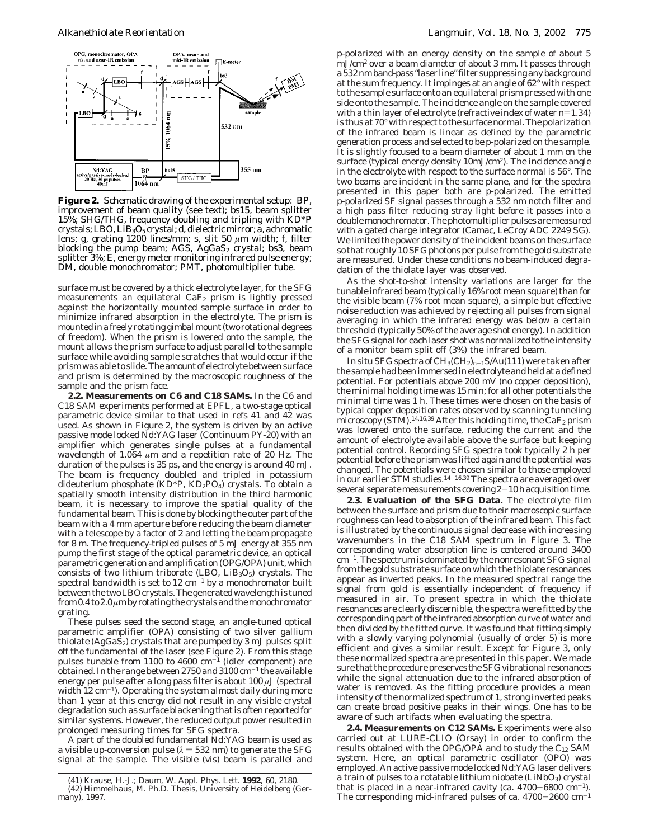

**Figure 2.** Schematic drawing of the experimental setup: BP, improvement of beam quality (see text); bs15, beam splitter 15%; SHG/THG, frequency doubling and tripling with KD\*P crystals; LBO, LiB<sub>3</sub>O<sub>5</sub> crystal; d, dielectric mirror; a, achromatic lens; g, grating 1200 lines/mm; s, slit 50 *µ*m width; f, filter blocking the pump beam; AGS,  $AgGaS_2$  crystal; bs3, beam splitter 3%; E, energy meter monitoring infrared pulse energy; DM, double monochromator; PMT, photomultiplier tube.

surface must be covered by a thick electrolyte layer, for the SFG measurements an equilateral  $CaF_2$  prism is lightly pressed against the horizontally mounted sample surface in order to minimize infrared absorption in the electrolyte. The prism is mounted in a freely rotating gimbal mount (two rotational degrees of freedom). When the prism is lowered onto the sample, the mount allows the prism surface to adjust parallel to the sample surface while avoiding sample scratches that would occur if the prism was able to slide. The amount of electrolyte between surface and prism is determined by the macroscopic roughness of the sample and the prism face.

**2.2. Measurements on C6 and C18 SAMs.** In the C6 and C18 SAM experiments performed at EPFL, a two-stage optical parametric device similar to that used in refs 41 and 42 was used. As shown in Figure 2, the system is driven by an active passive mode locked Nd:YAG laser (Continuum PY-20) with an amplifier which generates single pulses at a fundamental wavelength of 1.064 *µ*m and a repetition rate of 20 Hz. The duration of the pulses is 35 ps, and the energy is around 40 mJ. The beam is frequency doubled and tripled in potassium dideuterium phosphate ( $KD^*P$ ,  $KD_2PO_4$ ) crystals. To obtain a spatially smooth intensity distribution in the third harmonic beam, it is necessary to improve the spatial quality of the fundamental beam. This is done by blocking the outer part of the beam with a 4 mm aperture before reducing the beam diameter with a telescope by a factor of 2 and letting the beam propagate for 8 m. The frequency-tripled pulses of 5 mJ energy at 355 nm pump the first stage of the optical parametric device, an optical parametric generation and amplification (OPG/OPA) unit, which consists of two lithium triborate (LBO,  $LiB<sub>3</sub>O<sub>5</sub>$ ) crystals. The spectral bandwidth is set to  $12 \text{ cm}^{-1}$  by a monochromator built between the two LBO crystals. The generated wavelength is tuned from 0.4 to 2.0 *µ*m by rotating the crystals and the monochromator grating.

These pulses seed the second stage, an angle-tuned optical parametric amplifier (OPA) consisting of two silver gallium thiolate  $(AgGaS_2)$  crystals that are pumped by 3 mJ pulses split off the fundamental of the laser (see Figure 2). From this stage pulses tunable from 1100 to 4600  $cm^{-1}$  (idler component) are obtained. In the range between 2750 and  $3100 \text{ cm}^{-1}$  the available energy per pulse after a long pass filter is about 100 *µ*J (spectral width  $12 \text{ cm}^{-1}$ ). Operating the system almost daily during more than 1 year at this energy did not result in any visible crystal degradation such as surface blackening that is often reported for similar systems. However, the reduced output power resulted in prolonged measuring times for SFG spectra.

A part of the doubled fundamental Nd:YAG beam is used as a visible up-conversion pulse  $(\lambda = 532 \text{ nm})$  to generate the SFG signal at the sample. The visible (vis) beam is parallel and p-polarized with an energy density on the sample of about 5 mJ/cm2 over a beam diameter of about 3 mm. It passes through a 532 nm band-pass "laser line" filter suppressing any background at the sum frequency. It impinges at an angle of 62° with respect to the sample surface onto an equilateral prism pressed with one side onto the sample. The incidence angle on the sample covered with a thin layer of electrolyte (refractive index of water *n*=1.34) is thus at 70° with respect to the surface normal. The polarization of the infrared beam is linear as defined by the parametric generation process and selected to be p-polarized on the sample. It is slightly focused to a beam diameter of about 1 mm on the surface (typical energy density 10mJ/cm2). The incidence angle in the electrolyte with respect to the surface normal is 56°. The two beams are incident in the same plane, and for the spectra presented in this paper both are p-polarized. The emitted p-polarized SF signal passes through a 532 nm notch filter and a high pass filter reducing stray light before it passes into a double monochromator. The photomultiplier pulses are measured with a gated charge integrator (Camac, LeCroy ADC 2249 SG). We limited the power density of the incident beams on the surface so that roughly 10 SFG photons per pulse from the gold substrate are measured. Under these conditions no beam-induced degradation of the thiolate layer was observed.

As the shot-to-shot intensity variations are larger for the tunable infrared beam (typically 16% root mean square) than for the visible beam (7% root mean square), a simple but effective noise reduction was achieved by rejecting all pulses from signal averaging in which the infrared energy was below a certain threshold (typically 50% of the average shot energy). In addition the SFG signal for each laser shot was normalized to the intensity of a monitor beam split off (3%) the infrared beam.

In situ SFG spectra of CH3(CH2)*<sup>n</sup>*-1S/Au(111) were taken after the sample had been immersed in electrolyte and held at a defined potential. For potentials above 200 mV (no copper deposition), the minimal holding time was 15 min; for all other potentials the minimal time was 1 h. These times were chosen on the basis of typical copper deposition rates observed by scanning tunneling microscopy (STM).<sup>14,16,39</sup> After this holding time, the  $\overline{\text{CaF}_2}$  prism was lowered onto the surface, reducing the current and the amount of electrolyte available above the surface but keeping potential control. Recording SFG spectra took typically 2 h per potential before the prism was lifted again and the potential was changed. The potentials were chosen similar to those employed in our earlier STM studies.<sup>14-16,39</sup> The spectra are averaged over several separate measurements covering 2-10 h acquisition time.

**2.3. Evaluation of the SFG Data.** The electrolyte film between the surface and prism due to their macroscopic surface roughness can lead to absorption of the infrared beam. This fact is illustrated by the continuous signal decrease with increasing wavenumbers in the C18 SAM spectrum in Figure 3. The corresponding water absorption line is centered around 3400 cm-1. The spectrum is dominated by the nonresonant SFG signal from the gold substrate surface on which the thiolate resonances appear as inverted peaks. In the measured spectral range the signal from gold is essentially independent of frequency if measured in air. To present spectra in which the thiolate resonances are clearly discernible, the spectra were fitted by the corresponding part of the infrared absorption curve of water and then divided by the fitted curve. It was found that fitting simply with a slowly varying polynomial (usually of order 5) is more efficient and gives a similar result. Except for Figure 3, only these normalized spectra are presented in this paper. We made sure that the procedure preserves the SFG vibrational resonances while the signal attenuation due to the infrared absorption of water is removed. As the fitting procedure provides a mean intensity of the normalized spectrum of 1, strong inverted peaks can create broad positive peaks in their wings. One has to be aware of such artifacts when evaluating the spectra.

**2.4. Measurements on C12 SAMs.** Experiments were also carried out at LURE-CLIO (Orsay) in order to confirm the results obtained with the OPG/OPA and to study the  $C_{12}$  SAM system. Here, an optical parametric oscillator (OPO) was employed. An active passive mode locked Nd:YAG laser delivers a train of pulses to a rotatable lithium niobate  $(LiNbO<sub>3</sub>)$  crystal that is placed in a near-infrared cavity (ca.  $4700-6800$  cm<sup>-1</sup>). The corresponding mid-infrared pulses of ca.  $4700-2600$  cm<sup>-1</sup>

<sup>(41)</sup> Krause, H.-J.; Daum, W. *Appl. Phys. Lett.* **1992**, *60*, 2180. (42) Himmelhaus, M. Ph.D. Thesis, University of Heidelberg (Germany), 1997.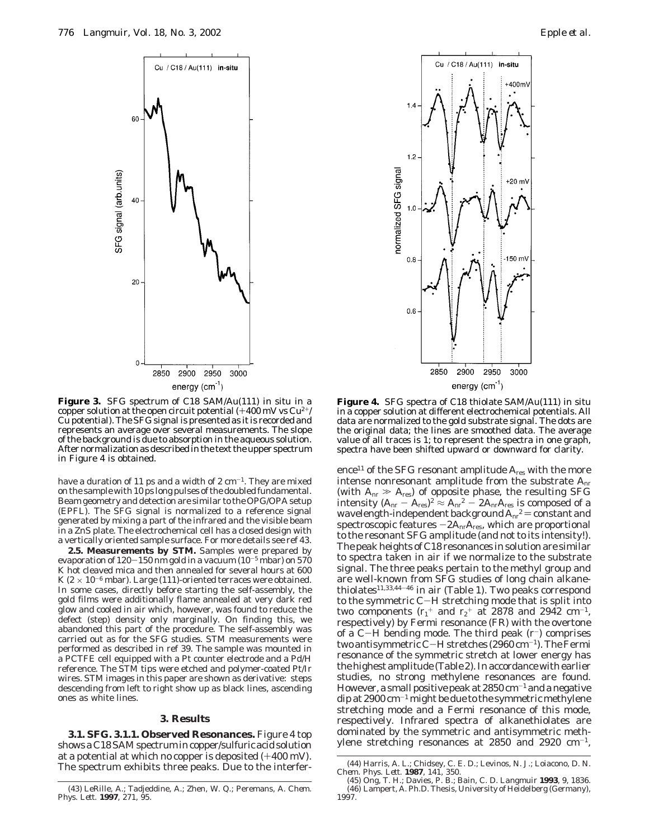



**Figure 3.** SFG spectrum of C18 SAM/Au(111) in situ in a copper solution at the open circuit potential  $(+400 \,\mathrm{mV} \,\mathrm{vs} \,\mathrm{Cu^{2+}/}$ Cu potential). The SFG signal is presented as it is recorded and represents an average over several measurements. The slope of the background is due to absorption in the aqueous solution. After normalization as described in the text the upper spectrum in Figure 4 is obtained.

have a duration of 11 ps and a width of 2  $\rm cm^{-1}.$  They are mixed on the sample with 10 ps long pulses of the doubled fundamental. Beam geometry and detection are similar to the OPG/OPA setup (EPFL). The SFG signal is normalized to a reference signal generated by mixing a part of the infrared *and* the visible beam in a ZnS plate. The electrochemical cell has a closed design with a vertically oriented sample surface. For more details see ref 43.

**2.5. Measurements by STM.** Samples were prepared by evaporation of  $120-150$  nm gold in a vacuum  $(10^{-5}$  mbar) on  $570$ K hot cleaved mica and then annealed for several hours at 600 K ( $2 \times 10^{-6}$  mbar). Large (111)-oriented terraces were obtained. In some cases, directly before starting the self-assembly, the gold films were additionally flame annealed at very dark red glow and cooled in air which, however, was found to reduce the defect (step) density only marginally. On finding this, we abandoned this part of the procedure. The self-assembly was carried out as for the SFG studies. STM measurements were performed as described in ref 39. The sample was mounted in a PCTFE cell equipped with a Pt counter electrode and a Pd/H reference. The STM tips were etched and polymer-coated Pt/Ir wires. STM images in this paper are shown as derivative: steps descending from left to right show up as black lines, ascending ones as white lines.

#### **3. Results**

**3.1. SFG. 3.1.1. Observed Resonances.** Figure 4 top shows a C18 SAM spectrum in copper/sulfuric acid solution at a potential at which no copper is deposited (+400 mV). The spectrum exhibits three peaks. Due to the interfer-



**Figure 4.** SFG spectra of C18 thiolate SAM/Au(111) in situ in a copper solution at different electrochemical potentials. All data are normalized to the gold substrate signal. The dots are the original data; the lines are smoothed data. The average value of all traces is 1; to represent the spectra in one graph, spectra have been shifted upward or downward for clarity.

ence<sup>11</sup> of the SFG resonant amplitude  $A_{res}$  with the more intense nonresonant amplitude from the substrate *A*nr (with  $A_{\text{nr}} \gg A_{\text{res}}$ ) of opposite phase, the resulting SFG<br>intensity  $(A_{\text{nr}} - A_{\text{res}})^2 \approx A_{\text{nr}}^2 - 2A_{\text{nr}}A_{\text{res}}$  is composed of a intensity  $(A_{\rm nr}-A_{\rm res})^2\approx A_{\rm nr}^2-2A_{\rm nr}A_{\rm res}$  is composed of a<br>wavelength-independent background  $A_{\rm nr}^2$  = constant and wavelength-independent background  $A_{\rm nr}^2$  = constant and<br>spectroscopic features  $-2A_{\rm nr}A_{\rm nr}$ , which are proportional spectroscopic features  $-2A<sub>nr</sub>A<sub>res</sub>$ , which are proportional to the resonant SFG amplitude (and not to its intensity!). The peak heights of C18 resonances in solution are similar to spectra taken in air if we normalize to the substrate signal. The three peaks pertain to the methyl group and are well-known from SFG studies of long chain alkanethiolates<sup>11,33,44-46</sup> in air (Table 1). Two peaks correspond to the symmetric C-H stretching mode that is split into two components  $(r_1^+ \text{ and } r_2^+ \text{ at } 2878 \text{ and } 2942 \text{ cm}^{-1},$ respectively) by Fermi resonance (FR) with the overtone of a C-H bending mode. The third peak  $(r^-)$  comprises two antisymmetric C-H stretches  $(2960 \,\mathrm{cm}^{-1})$ . The Fermi resonance of the symmetric stretch at lower energy has the highest amplitude (Table 2). In accordance with earlier studies, no strong methylene resonances are found. However, a small positive peak at  $2850 \,\mathrm{cm}^{-1}$  and a negative dip at 2900 cm-<sup>1</sup> might be due to the symmetric methylene stretching mode and a Fermi resonance of this mode, respectively. Infrared spectra of alkanethiolates are dominated by the symmetric and antisymmetric methylene stretching resonances at  $2850$  and  $2920$  cm<sup>-1</sup>,

<sup>(43)</sup> LeRille, A.; Tadjeddine, A.; Zhen, W. Q.; Peremans, A. *Chem. Phys. Lett.* **1997**, *271*, 95.

<sup>(44)</sup> Harris, A. L.; Chidsey, C. E. D.; Levinos, N. J.; Loiacono, D. N. *Chem. Phys. Lett.* **1987**, *141*, 350.

<sup>(45)</sup> Ong, T. H.; Davies, P. B.; Bain, C. D. *Langmuir* **1993**, *9*, 1836. (46) Lampert, A. Ph.D. Thesis, University of Heidelberg (Germany), 1997.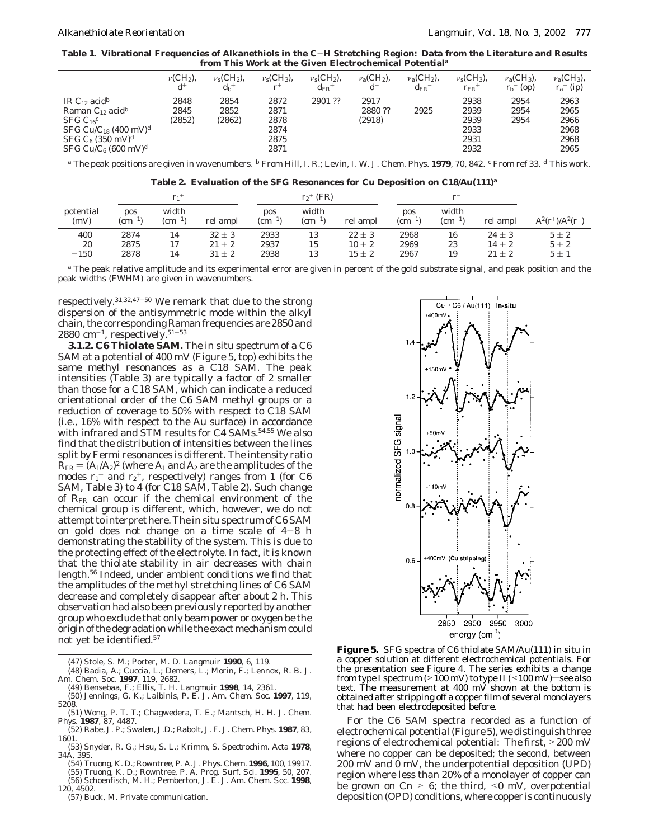**Table 1. Vibrational Frequencies of Alkanethiols in the C**-**H Stretching Region: Data from the Literature and Results from This Work at the Given Electrochemical Potential***<sup>a</sup>*

|                                                                                                                                                                                                                             | $\nu$ (CH <sub>2</sub> ), | $v_s$ (CH <sub>2</sub> ), | $v_s$ (CH <sub>3</sub> ),                    | $v_s$ (CH <sub>2</sub> ), | $v_{\rm a}$ (CH <sub>2</sub> ), | $v_a$ (CH <sub>2</sub> ), | $v_s$ (CH <sub>3</sub> ),                    | $v_a$ (CH <sub>3</sub> ), | $v_a$ (CH <sub>3</sub> ),                    |
|-----------------------------------------------------------------------------------------------------------------------------------------------------------------------------------------------------------------------------|---------------------------|---------------------------|----------------------------------------------|---------------------------|---------------------------------|---------------------------|----------------------------------------------|---------------------------|----------------------------------------------|
|                                                                                                                                                                                                                             | $d^+$                     | $d_h$ <sup>+</sup>        | $r^+$                                        | $\rm{d}_{\rm{FR}}$ +      | $d^-$                           | $d_{\rm FR}$              | $r_{FR}$ <sup>+</sup>                        | $r_b$ <sup>-</sup> (op)   | $r_a$ <sup>-</sup> (ip)                      |
| IR C <sub>12</sub> acid <sup>b</sup><br>Raman $C_{12}$ acid <sup>b</sup><br>$SFG C_{16}c$<br>SFG Cu/C <sub>18</sub> (400 mV) <sup>d</sup><br>$SFG C_6$ (350 mV) <sup>d</sup><br>SFG Cu/C <sub>6</sub> (600 mV) <sup>d</sup> | 2848<br>2845<br>(2852)    | 2854<br>2852<br>(2862)    | 2872<br>2871<br>2878<br>2874<br>2875<br>2871 | 2901 ??                   | 2917<br>2880 ??<br>(2918)       | 2925                      | 2938<br>2939<br>2939<br>2933<br>2931<br>2932 | 2954<br>2954<br>2954      | 2963<br>2965<br>2966<br>2968<br>2968<br>2965 |

*<sup>a</sup>* The peak positions are given in wavenumbers. *<sup>b</sup>* From Hill, I. R.; Levin, I. W. *J. Chem. Phys.* **1979**, *70*, 842. *<sup>c</sup>* From ref 33. *<sup>d</sup>* This work.

**Table 2. Evaluation of the SFG Resonances for Cu Deposition on C18/Au(111)***<sup>a</sup>*

|                   | $r_1$                  |                          |            | $r_2$ <sup>+</sup> (FR)       |                          |            |                        |                          |            |                             |  |
|-------------------|------------------------|--------------------------|------------|-------------------------------|--------------------------|------------|------------------------|--------------------------|------------|-----------------------------|--|
| potential<br>(mV) | pos<br>$\rm (cm^{-1})$ | width<br>$\rm (cm^{-1})$ | rel ampl   | <b>pos</b><br>$\rm (cm^{-1})$ | width<br>$\rm (cm^{-1})$ | rel ampl   | pos<br>$\rm (cm^{-1})$ | width<br>$\rm (cm^{-1})$ | rel ampl   | $A^{2}(r^{+})/A^{2}(r^{-})$ |  |
| 400               | 2874                   | 14                       | $32 \pm 3$ | 2933                          | 13                       | $22 \pm 3$ | 2968                   | 16                       | $24 \pm 3$ | $5\pm 2$                    |  |
| 20                | 2875                   | 17                       | $21 \pm 2$ | 2937                          | 15                       | $10 \pm 2$ | 2969                   | 23                       | $14 \pm 2$ | $5\pm 2$                    |  |
| $-150$            | 2878                   | 14                       | $31 \pm 2$ | 2938                          | 13                       | $15 \pm 2$ | 2967                   | 19                       | $21 \pm 2$ | $5\pm1$                     |  |

*<sup>a</sup>* The peak relative amplitude and its experimental error are given in percent of the gold substrate signal, and peak position and the peak widths (FWHM) are given in wavenumbers.

respectively.31,32,47-<sup>50</sup> We remark that due to the strong dispersion of the antisymmetric mode within the alkyl chain, the corresponding Raman frequencies are 2850 and 2880 cm<sup>-1</sup>, respectively.<sup>51-53</sup>

**3.1.2. C6 Thiolate SAM.** The in situ spectrum of a C6 SAM at a potential of 400 mV (Figure 5, top) exhibits the same methyl resonances as a C18 SAM. The peak intensities (Table 3) are typically a factor of 2 smaller than those for a C18 SAM, which can indicate a reduced orientational order of the C6 SAM methyl groups or a reduction of coverage to 50% with respect to C18 SAM (i.e., 16% with respect to the Au surface) in accordance with infrared and STM results for C4 SAMs.<sup>54,55</sup> We also find that the distribution of intensities between the lines split by Fermi resonances is different. The intensity ratio  $R_{FR} = (A_1/A_2)^2$  (where  $A_1$  and  $A_2$  are the amplitudes of the modes  $r_1$ <sup>+</sup> and  $r_2$ <sup>+</sup>, respectively) ranges from 1 (for C6 SAM, Table 3) to 4 (for C18 SAM, Table 2). Such change of *R*FR can occur if the chemical environment of the chemical group is different, which, however, we do not attempt to interpret here. The in situ spectrum of C6 SAM on gold does not change on a time scale of  $4-8$  h demonstrating the stability of the system. This is due to the protecting effect of the electrolyte. In fact, it is known that the thiolate stability in air decreases with chain length.56 Indeed, under ambient conditions we find that the amplitudes of the methyl stretching lines of C6 SAM decrease and completely disappear after about 2 h. This observation had also been previously reported by another group who exclude that only beam power or oxygen be the origin of the degradation while the exact mechanism could not yet be identified.57

(47) Stole, S. M.; Porter, M. D. *Langmuir* **1990**, *6*, 119.

- (48) Badia, A.; Cuccia, L.; Demers, L.; Morin, F.; Lennox, R. B. *J. Am. Chem. Soc.* **1997**, *119*, 2682.
- (49) Bensebaa, F.; Ellis, T. H. *Langmuir* **1998**, *14*, 2361.
- (50) Jennings, G. K.; Laibinis, P. E. *J. Am. Chem. Soc.* **1997**, *119*, 5208. (51) Wong, P. T. T.; Chagwedera, T. E.; Mantsch, H. H. *J. Chem.*
- *Phys.* **1987**, *87*, 4487. (52) Rabe, J. P.; Swalen, J.D.; Rabolt, J. F. *J. Chem. Phys.* **1987**, *83*,
- 1601. (53) Snyder, R. G.; Hsu, S. L.; Krimm, S. *Spectrochim. Acta* **1978**,
- *34A*, 395.
- (54) Truong, K. D.; Rowntree, P. A. *J. Phys. Chem.* **1996**, *100*, 19917. (55) Truong, K. D.; Rowntree, P. A. *Prog. Surf. Sci.* **1995**, *50*, 207. (56) Schoenfisch, M. H.; Pemberton, J. E. *J. Am. Chem. Soc.* **1998**, *120*, 4502.
- (57) Buck, M. Private communication.



**Figure 5.** SFG spectra of C6 thiolate SAM/Au(111) in situ in a copper solution at different electrochemical potentials. For the presentation see Figure 4. The series exhibits a change from type I spectrum ( $>100$  mV) to type II ( $<100$  mV)—see also text. The measurement at 400 mV shown at the bottom is obtained after stripping off a copper film of several monolayers that had been electrodeposited before.

For the C6 SAM spectra recorded as a function of electrochemical potential (Figure 5), we distinguish three regions of electrochemical potential: The first, >200 mV where no copper can be deposited; the second, between 200 mV and 0 mV, the underpotential deposition (UPD) region where less than 20% of a monolayer of copper can be grown on  $C_n > 6$ ; the third,  $\leq 0$  mV, overpotential deposition (OPD) conditions, where copper is continuously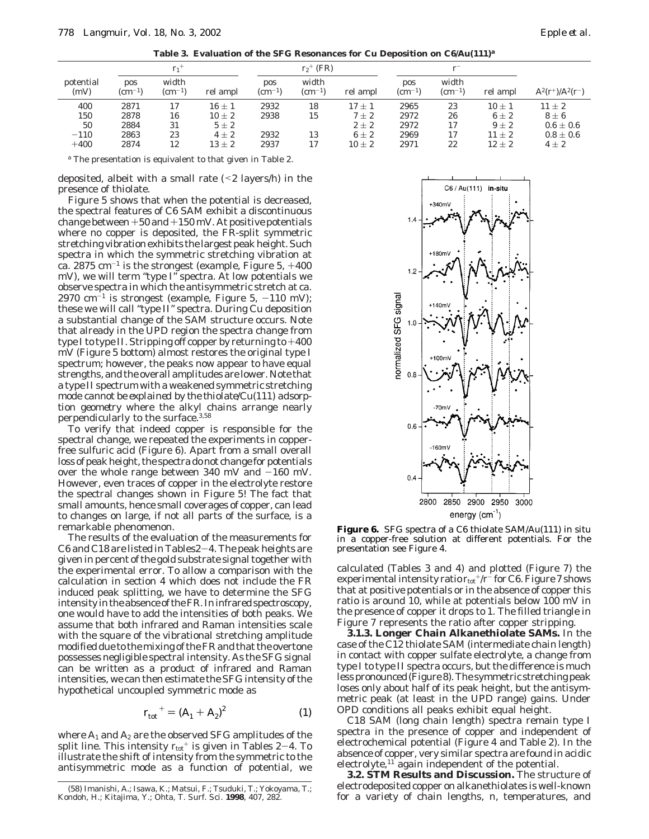**Table 3. Evaluation of the SFG Resonances for Cu Deposition on C6/Au(111)***<sup>a</sup>*

|                   | $r_1$                  |                          |          | $r_2$ <sup>+</sup> (FR)       |                          |            |                               |                          |            |                             |
|-------------------|------------------------|--------------------------|----------|-------------------------------|--------------------------|------------|-------------------------------|--------------------------|------------|-----------------------------|
| potential<br>(mV) | pos<br>$\rm (cm^{-1})$ | width<br>$\rm (cm^{-1})$ | rel ampl | <b>pos</b><br>$\rm (cm^{-1})$ | width<br>$\rm (cm^{-1})$ | rel ampl   | <b>pos</b><br>$\rm (cm^{-1})$ | width<br>$\rm (cm^{-1})$ | rel ampl   | $A^{2}(r^{+})/A^{2}(r^{-})$ |
| 400               | 2871                   | 17                       | $16\pm1$ | 2932                          | 18                       | $17 + 1$   | 2965                          | 23                       | $10 \pm 1$ | $11 + 2$                    |
| 150               | 2878                   | 16                       | $10\pm2$ | 2938                          | 15                       | $7\pm2$    | 2972                          | 26                       | $6\pm 2$   | $8\pm6$                     |
| 50                | 2884                   | 31                       | $5\pm 2$ |                               |                          | $2 \pm 2$  | 2972                          | 17                       | $9 \pm 2$  | $0.6 \pm 0.6$               |
| $-110$            | 2863                   | 23                       | $4+2$    | 2932                          | 13                       | $6 \pm 2$  | 2969                          | 17                       | $11 \pm 2$ | $0.8 \pm 0.6$               |
| $+400$            | 2874                   | 12                       | $13\pm2$ | 2937                          | 17                       | $10 \pm 2$ | 2971                          | 22                       | $12 \pm 2$ | $4 \pm 2$                   |

*<sup>a</sup>* The presentation is equivalent to that given in Table 2.

deposited, albeit with a small rate  $(2 \text{ layers/h})$  in the presence of thiolate.

Figure 5 shows that when the potential is decreased, the spectral features of C6 SAM exhibit a discontinuous change between  $+50$  and  $+150$  mV. At positive potentials where no copper is deposited, the FR-split symmetric stretching vibration exhibits the largest peak height. Such spectra in which the symmetric stretching vibration at ca. 2875  $cm^{-1}$  is the strongest (example, Figure 5,  $+400$ mV), we will term "type I" spectra. At low potentials we observe spectra in which the antisymmetric stretch at ca.  $2970 \text{ cm}^{-1}$  is strongest (example, Figure 5,  $-110 \text{ mV}$ ); these we will call "type II" spectra. During Cu deposition a substantial change of the SAM structure occurs. Note that already in the UPD region the spectra change from type I to type II. Stripping off copper by returning to +<sup>400</sup> mV (Figure 5 bottom) almost restores the original type I spectrum; however, the peaks now appear to have equal strengths, and the overall amplitudes are lower. Note that a type II spectrum with a weakened symmetric stretching mode *cannot be explained by the thiolate*/*Cu*(*111*) *adsorption geometry* where the alkyl chains arrange nearly perpendicularly to the surface.3,58

To verify that indeed copper is responsible for the spectral change, we repeated the experiments in copperfree sulfuric acid (Figure 6). Apart from a small overall loss of peak height, the spectra do not change for potentials over the whole range between 340 mV and  $-160$  mV. However, even traces of copper in the electrolyte restore the spectral changes shown in Figure 5! The fact that small amounts, hence small coverages of copper, can lead to changes on large, if not all parts of the surface, is a remarkable phenomenon.

The results of the evaluation of the measurements for C6 and C18 are listed in Tables2-4. The peak heights are given in percent of the gold substrate signal together with the experimental error. To allow a comparison with the calculation in section 4 which does not include the FR induced peak splitting, we have to determine the SFG intensity in the absence of the FR. In infrared spectroscopy, one would have to add the intensities of both peaks. We assume that both infrared and Raman intensities scale with the square of the vibrational stretching amplitude modified due to the mixing of the FR and that the overtone possesses negligible spectral intensity. As the SFG signal can be written as a product of infrared and Raman intensities, we can then estimate the SFG intensity of the hypothetical uncoupled symmetric mode as

$$
r_{\text{tot}}^{+} = (A_1 + A_2)^2 \tag{1}
$$

where  $A_1$  and  $A_2$  are the observed SFG amplitudes of the split line. This intensity  $r_{\text{tot}}$ <sup>+</sup> is given in Tables 2-4. To illustrate the shift of intensity from the symmetric to the antisymmetric mode as a function of potential, we



**Figure 6.** SFG spectra of a C6 thiolate SAM/Au(111) in situ in a copper-free solution at different potentials. For the presentation see Figure 4.

calculated (Tables 3 and 4) and plotted (Figure 7) the experimental intensity ratio  $r_{\text{tot}}$ +/ $r$ <sup>-</sup> for C6. Figure 7 shows that at positive potentials or in the absence of copper this ratio is around 10, while at potentials below 100 mV in the presence of copper it drops to 1. The filled triangle in Figure 7 represents the ratio after copper stripping.

**3.1.3. Longer Chain Alkanethiolate SAMs.** In the case of the C12 thiolate SAM (intermediate chain length) in contact with copper sulfate electrolyte, a change from type I to type II spectra occurs, but the difference is much less pronounced (Figure 8). The symmetric stretching peak loses only about half of its peak height, but the antisymmetric peak (at least in the UPD range) gains. Under OPD conditions all peaks exhibit equal height.

C18 SAM (long chain length) spectra remain type I spectra in the presence of copper and independent of electrochemical potential (Figure 4 and Table 2). In the absence of copper, very similar spectra are found in acidic electrolyte,<sup>11</sup> again independent of the potential.

**3.2. STM Results and Discussion.** The structure of electrodeposited copper on alkanethiolates is well-known for a variety of chain lengths,  $n$ , temperatures, and

for a variety of chain lengths, *<sup>n</sup>*, temperatures, and (58) Imanishi, A.; Isawa, K.; Matsui, F.; Tsuduki, T.; Yokoyama, T.; Kondoh, H.; Kitajima, Y.; Ohta, T. *Surf. Sci.* **1998**, *407*, 282.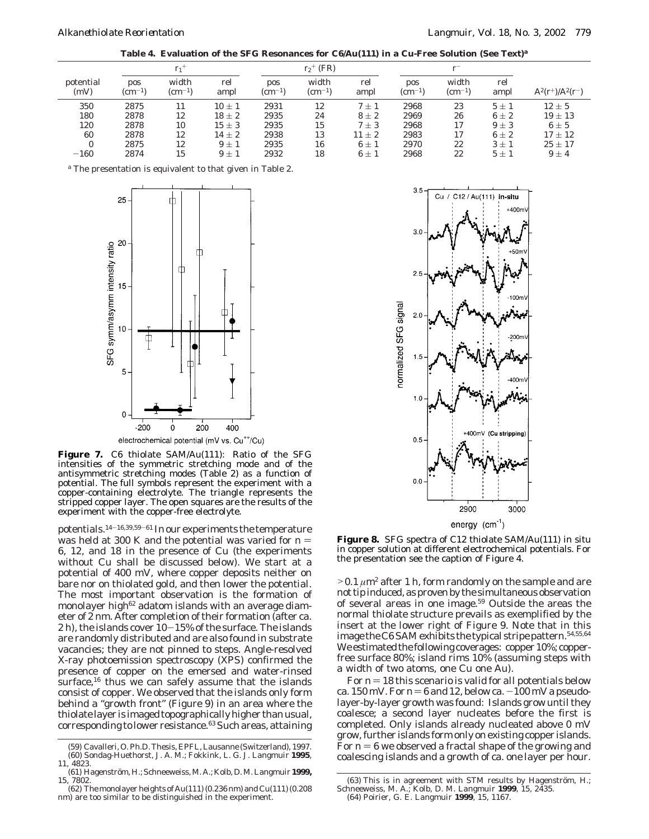**Table 4. Evaluation of the SFG Resonances for C6/Au(111) in a Cu-Free Solution (See Text)***<sup>a</sup>*

|                   | $r_1$                  |                          |             |                        | $r_2$ <sup>+</sup> (FR)  |             |                        |                          |             |                             |  |
|-------------------|------------------------|--------------------------|-------------|------------------------|--------------------------|-------------|------------------------|--------------------------|-------------|-----------------------------|--|
| potential<br>(mV) | pos<br>$\rm (cm^{-1})$ | width<br>$\rm (cm^{-1})$ | rel<br>ampl | pos<br>$\rm (cm^{-1})$ | width<br>$\rm (cm^{-1})$ | rel<br>ampl | pos<br>$\rm (cm^{-1})$ | width<br>$\rm (cm^{-1})$ | rel<br>ampl | $A^{2}(r^{+})/A^{2}(r^{-})$ |  |
| 350               | 2875                   | 11                       | $10 \pm 1$  | 2931                   | 12                       | $7 + 1$     | 2968                   | 23                       | $5+1$       | $12 \pm 5$                  |  |
| 180               | 2878                   | 12                       | $18 \pm 2$  | 2935                   | 24                       | $8\pm2$     | 2969                   | 26                       | $6\pm 2$    | $19 \pm 13$                 |  |
| 120               | 2878                   | 10                       | $15 \pm 3$  | 2935                   | 15                       | $7 \pm 3$   | 2968                   | 17                       | $9+3$       | $6 \pm 5$                   |  |
| 60                | 2878                   | 12                       | $14 \pm 2$  | 2938                   | 13                       | $11 \pm 2$  | 2983                   | 17                       | $6+2$       | $17 \pm 12$                 |  |
| $\bf{0}$          | 2875                   | 12                       | $9 \pm 1$   | 2935                   | 16                       | $6 \pm 1$   | 2970                   | 22                       | $3 \pm 1$   | $25 \pm 17$                 |  |
| $-160$            | 2874                   | 15                       | $9 \pm 1$   | 2932                   | 18                       | $6 \pm 1$   | 2968                   | 22                       | $5\pm1$     | $9 \pm 4$                   |  |

*<sup>a</sup>* The presentation is equivalent to that given in Table 2.



**Figure 7.** C6 thiolate SAM/Au(111): Ratio of the SFG intensities of the symmetric stretching mode and of the antisymmetric stretching modes (Table 2) as a function of potential. The full symbols represent the experiment with a copper-containing electrolyte. The triangle represents the stripped copper layer. The open squares are the results of the experiment with the copper-free electrolyte.

potentials.14-16,39,59-<sup>61</sup> In our experiments the temperature was held at 300 K and the potential was varied for  $n =$ 6, 12, and 18 in the presence of Cu (the experiments without Cu shall be discussed below). We start at a potential of 400 mV, where copper deposits neither on bare nor on thiolated gold, and then lower the potential. The most important observation is the formation of monolayer high<sup>62</sup> adatom islands with an average diameter of 2 nm. After completion of their formation (after ca. 2 h), the islands cover  $10-15%$  of the surface. The islands are randomly distributed and are also found in substrate vacancies; they are not pinned to steps. Angle-resolved X-ray photoemission spectroscopy (XPS) confirmed the presence of copper on the emersed and water-rinsed surface, $16$  thus we can safely assume that the islands consist of copper. We observed that the islands only form behind a "growth front" (Figure 9) in an area where the thiolate layer is imaged topographically higher than usual, corresponding to lower resistance.63 Such areas, attaining



**Figure 8.** SFG spectra of C12 thiolate SAM/Au(111) in situ in copper solution at different electrochemical potentials. For the presentation see the caption of Figure 4.

 $>0.1 \mu m^2$  after 1 h, form randomly on the sample and are not tip induced, as proven by the simultaneous observation of several areas in one image.59 Outside the areas the normal thiolate structure prevails as exemplified by the insert at the lower right of Figure 9. Note that in this image the C6 SAM exhibits the typical stripe pattern.54,55,64 We estimated the following coverages: copper 10%; copperfree surface 80%; island rims 10% (assuming steps with a width of two atoms, one Cu one Au).

For  $n = 18$  this scenario is valid for *all* potentials below ca. 150 mV. For  $n = 6$  and 12, below ca.  $-100$  mV a pseudolayer-by-layer growth was found: Islands grow until they coalesce; a second layer nucleates before the first is completed. Only islands already nucleated above 0 mV grow, further islands form only on existing copper islands. For  $n = 6$  we observed a fractal shape of the growing and coalescing islands and a growth of ca. one layer per hour.

<sup>(59)</sup> Cavalleri, O. Ph.D. Thesis, EPFL, Lausanne (Switzerland), 1997. (60) Sondag-Huethorst, J. A. M.; Fokkink, L. G. J. *Langmuir* **1995**, *11*, 4823.

<sup>(61)</sup> Hagenstro¨m, H.; Schneeweiss, M. A.; Kolb, D. M.*Langmuir* **1999,** *15,* 7802.

<sup>(62)</sup> The monolayer heights of Au(111) (0.236 nm) and Cu(111) (0.208 nm) are too similar to be distinguished in the experiment.

 $(63)$  This is in agreement with STM results by Hagenström, H.; Schneeweiss, M. A.; Kolb, D. M. *Langmuir* **1999**, *15*, 2435. (64) Poirier, G. E. *Langmuir* **1999**, *15*, 1167.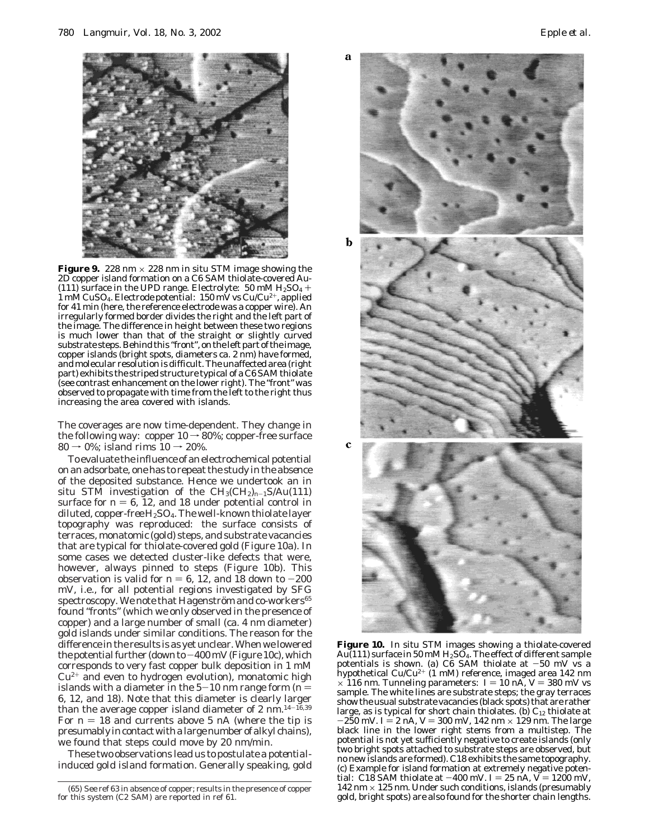

**Figure 9.** 228 nm  $\times$  228 nm in situ STM image showing the 2D copper island formation on a C6 SAM thiolate-covered Au- (111) surface in the UPD range. Electrolyte: 50 mM  $H<sub>2</sub>SO<sub>4</sub>$  + 1 mM CuSO<sub>4</sub>. Electrode potential:  $150$  mV vs Cu/Cu<sup>2+</sup>, applied for 41 min (here, the reference electrode was a copper wire). An irregularly formed border divides the right and the left part of the image. The difference in height between these two regions is much lower than that of the straight or slightly curved substrate steps. Behind this "front", on the left part of the image, copper islands (bright spots, diameters ca. 2 nm) have formed, and molecular resolution is difficult. The unaffected area (right part) exhibits the striped structure typical of a C6 SAM thiolate (see contrast enhancement on the lower right). The "front" was observed to propagate with time from the left to the right thus increasing the area covered with islands.

The coverages are now time-dependent. They change in the following way: copper  $10 \rightarrow 80\%$ ; copper-free surface  $80 \rightarrow 0\%$ ; island rims  $10 \rightarrow 20\%$ .

To evaluate the influence of an electrochemical potential on an adsorbate, one has to repeat the study in the *absence* of the deposited substance. Hence we undertook an in situ STM investigation of the CH3(CH2)*<sup>n</sup>*-1S/Au(111) surface for  $n = 6$ , 12, and 18 under potential control in diluted, *copper-free* H2SO4. The well-known thiolate layer topography was reproduced: the surface consists of terraces, monatomic (gold) steps, and substrate vacancies that are typical for thiolate-covered gold (Figure 10a). In some cases we detected cluster-like defects that were, however, always pinned to steps (Figure 10b). This observation is valid for  $n = 6$ , 12, and 18 down to  $-200$ mV, i.e., for all potential regions investigated by SFG spectroscopy. We note that Hagenström and co-workers<sup>65</sup> found "fronts" (which we only observed in the presence of copper) and a large number of small (ca. 4 nm diameter) gold islands under similar conditions. The reason for the difference in the results is as yet unclear. When we lowered the potential further (down to  $-400$  mV (Figure 10c), which corresponds to very fast copper bulk deposition in 1 mM  $Cu<sup>2+</sup>$  and even to hydrogen evolution), monatomic high islands with a diameter in the  $5-10$  nm range form ( $n =$ 6, 12, and 18). Note that this diameter is clearly larger than the average copper island diameter of 2 nm.  $14-16,39$ For  $n = 18$  and currents above 5 nA (where the tip is presumably in contact with a large number of alkyl chains), we found that steps could move by 20 nm/min.

These two observations lead us to postulate a *potentialinduced gold island formation*. Generally speaking, gold



**Figure 10.** In situ STM images showing a thiolate-covered Au(111) surface in 50 mM  $H_2S\overline{O}_4$ . The effect of different sample potentials is shown. (a) C6 SAM thiolate at  $-50$  mV vs a hypothetical Cu/Cu<sup>2+</sup> (1 mM) reference, imaged area 142 nm  $\times$  116 nm. Tunneling parameters:  $I = 10$  nA,  $V = 380$  mV vs sample. The white lines are substrate steps; the gray terraces show the usual substrate vacancies (black spots) that are rather large, as is typical for short chain thiolates. (b)  $C_{12}$  thiolate at  $-250$  mV.  $I = 2$  nA,  $V = 300$  mV, 142 nm  $\times$  129 nm. The large black line in the lower right stems from a multistep. The potential is not yet sufficiently negative to create islands (only two bright spots attached to substrate steps are observed, but no new islands are formed). C18 exhibits the same topography. (c) Example for island formation at extremely negative potential: C18 SAM thiolate at  $-400$  mV.  $I = 25$  nA,  $\ddot{V} = 1200$  mV, 142 nm  $\times$  125 nm. Under such conditions, islands (presumably gold, bright spots) are also found for the shorter chain lengths.

<sup>(65)</sup> See ref 63 in absence of copper; results in the presence of copper for this system (C2 SAM) are reported in ref 61.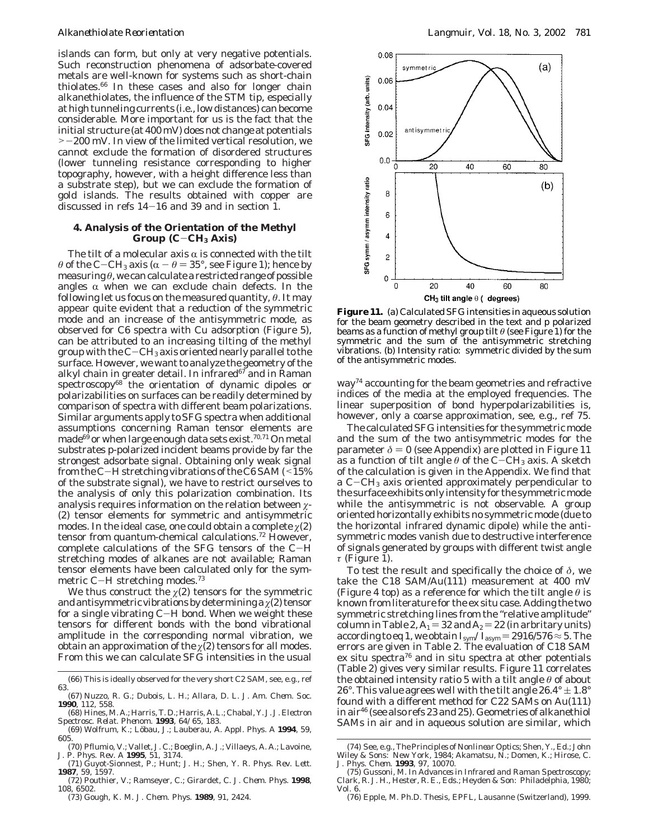islands can form, but only at very negative potentials. Such reconstruction phenomena of adsorbate-covered metals are well-known for systems such as short-chain thiolates.66 In these cases and also for longer chain alkanethiolates, the influence of the STM tip, especially at high tunneling currents (i.e., low distances) can become considerable. More important for us is the fact that the initial structure (at 400 mV) does not change at potentials >-200 mV. In view of the limited vertical resolution, we cannot exclude the formation of disordered structures (lower tunneling resistance corresponding to higher topography, however, with a height difference less than a substrate step), but we can exclude the formation of gold islands. The results obtained with copper are discussed in refs  $14-16$  and 39 and in section 1.

# **4. Analysis of the Orientation of the Methyl Group (C**-**CH3 Axis)**

The tilt of a molecular axis  $\alpha$  is connected with the tilt  $\theta$  of the C-CH<sub>3</sub> axis ( $\alpha - \theta = 35^{\circ}$ , see Figure 1); hence by measuring *θ*, we can calculate a restricted range of possible angles  $\alpha$  when we can exclude chain defects. In the following let us focus on the measured quantity, *θ*. It may appear quite evident that a reduction of the symmetric mode and an increase of the antisymmetric mode, as observed for C6 spectra with Cu adsorption (Figure 5), can be attributed to an increasing tilting of the methyl group with the  $C-CH_3$  axis oriented nearly parallel to the surface. However, we want to analyze the geometry of the alkyl chain in greater detail. In infrared $67$  and in Raman spectroscopy<sup>68</sup> the orientation of dynamic dipoles or polarizabilities on surfaces can be readily determined by comparison of spectra with different beam polarizations. Similar arguments apply to SFG spectra when additional assumptions concerning Raman tensor elements are made $^{69}$  or when large enough data sets exist.<sup>70,71</sup> On metal substrates p-polarized incident beams provide by far the strongest adsorbate signal. Obtaining only weak signal from the C-H stretching vibrations of the C6 SAM  $($  < 15% of the substrate signal), we have to restrict ourselves to the analysis of only this polarization combination. Its analysis requires information on the relation between *ø*- (2) tensor elements for symmetric and antisymmetric modes. In the ideal case, one could obtain a complete  $\chi(2)$ tensor from quantum-chemical calculations.72 However, complete calculations of the SFG tensors of the C-<sup>H</sup> stretching modes of alkanes are not available; Raman tensor elements have been calculated only for the symmetric C-H stretching modes.<sup>73</sup>

We thus construct the  $\chi$ (2) tensors for the symmetric and antisymmetric vibrations by determining a  $\chi$ (2) tensor for a single vibrating C-H bond. When we weight these tensors for different bonds with the bond vibrational amplitude in the corresponding normal vibration, we obtain an approximation of the  $\chi$ <sup>(2)</sup> tensors for all modes. From this we can calculate SFG intensities in the usual

(73) Gough, K. M. *J. Chem. Phys.* **1989**, *91,* 2424.



**Figure 11.** (a) Calculated SFG intensities in aqueous solution for the beam geometry described in the text and p polarized beams as a function of methyl group tilt *θ* (see Figure 1) for the symmetric and the sum of the antisymmetric stretching vibrations. (b) Intensity ratio: symmetric divided by the sum of the antisymmetric modes.

way74 accounting for the beam geometries and refractive indices of the media at the employed frequencies. The linear superposition of bond hyperpolarizabilities is, however, only a coarse approximation, see, e.g., ref 75.

The calculated SFG intensities for the symmetric mode and the sum of the two antisymmetric modes for the parameter  $\delta = 0$  (see Appendix) are plotted in Figure 11 as a function of tilt angle  $\theta$  of the C-CH<sub>3</sub> axis. A sketch of the calculation is given in the Appendix. We find that a  $C$ – $CH_3$  axis oriented approximately perpendicular to the surface exhibits only intensity for the symmetric mode while the antisymmetric is not observable. A group oriented horizontally exhibits no symmetric mode (due to the horizontal infrared dynamic dipole) while the antisymmetric modes vanish due to destructive interference of signals generated by groups with different twist angle *τ* (Figure 1).

To test the result and specifically the choice of *δ*, we take the C18 SAM/Au(111) measurement at 400 mV (Figure 4 top) as a reference for which the tilt angle *θ* is known from literature for the ex situ case. Adding the two symmetric stretching lines from the "relative amplitude" column in Table 2,  $A_1 = 32$  and  $A_2 = 22$  (in arbritary units) according to eq 1, we obtain  $I_{\text{sym}}/I_{\text{asym}} = 2916/576 \approx 5$ . The errors are given in Table 2. The evaluation of C18 SAM ex situ spectra $^{76}$  and in situ spectra at other potentials (Table 2) gives very similar results. Figure 11 correlates the obtained intensity ratio 5 with a tilt angle *θ* of about 26°. This value agrees well with the tilt angle  $26.4^{\circ} \pm 1.8^{\circ}$ found with a different method for C22 SAMs on Au(111) in air46 (see also refs 23 and 25). Geometries of alkanethiol SAMs in air and in aqueous solution are similar, which

<sup>(66)</sup> This is ideally observed for the very short C2 SAM, see, e.g., ref 63.

<sup>(67)</sup> Nuzzo, R. G.; Dubois, L. H.; Allara, D. L. *J. Am. Chem. Soc.* **1990**, *112*, 558.

<sup>(68)</sup> Hines, M. A.; Harris, T. D.; Harris, A. L.; Chabal, Y. J. *J. Electron Spectrosc. Relat. Phenom.* **1993**, *64/65*, 183. (69) Wolfrum, K.; Lo¨bau, J.; Lauberau, A. *Appl. Phys. A* **1994**, *59*,

<sup>605.</sup>

<sup>(70)</sup> Pflumio, V.; Vallet, J. C.; Boeglin, A. J.; Villaeys, A. A.; Lavoine, J. P. *Phys. Rev. A* **1995**, *51*, 3174.

<sup>(71)</sup> Guyot-Sionnest, P.; Hunt; J. H.; Shen, Y. R. *Phys. Rev. Lett.* **1987**, *59*, 1597.

<sup>(72)</sup> Pouthier, V.; Ramseyer, C.; Girardet, C. *J. Chem. Phys.* **1998**, *108*, 6502.

<sup>(74)</sup> See, e.g., *The Principles of Nonlinear Optics*; Shen, Y., Ed.; John Wiley & Sons: New York, 1984; Akamatsu, N.; Domen, K.; Hirose, C. *J. Phys. Chem.* **1993**, *97*, 10070.

<sup>(75)</sup> Gussoni, M. In *Advances in Infrared and Raman Spectroscopy*; Clark, R. J. H., Hester, R. E., Eds.; Heyden & Son: Philadelphia, 1980; Vol. 6.

<sup>(76)</sup> Epple, M. Ph.D. Thesis, EPFL, Lausanne (Switzerland), 1999.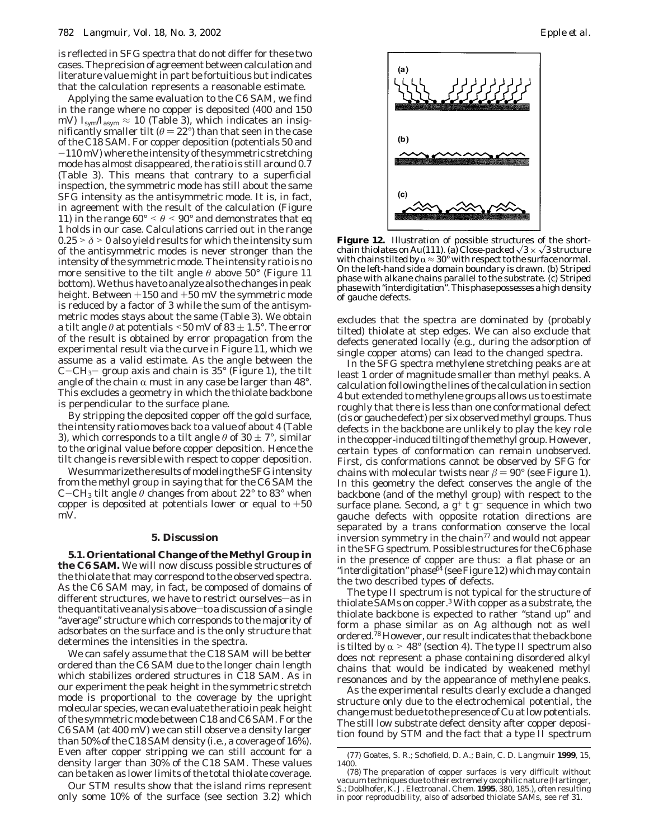is reflected in SFG spectra that do not differ for these two cases. The precision of agreement between calculation and literature value might in part be fortuitious but indicates that the calculation represents a reasonable estimate.

Applying the same evaluation to the C6 SAM, we find in the range where no copper is deposited (400 and 150 mV)  $I_{\text{sym}}/I_{\text{asym}} \approx 10$  (Table 3), which indicates an insignificantly smaller tilt ( $\theta = 22^{\circ}$ ) than that seen in the case of the C18 SAM. For copper deposition (potentials 50 and -110 mV) where the intensity of the symmetric stretching mode has almost disappeared, the ratio is still around 0.7 (Table 3). This means that contrary to a superficial inspection, the symmetric mode has still about the same SFG intensity as the antisymmetric mode. It is, in fact, in agreement with the result of the calculation (Figure 11) in the range  $60^{\circ} < \theta < 90^{\circ}$  and demonstrates that eq 1 holds in our case. Calculations carried out in the range  $0.25 > \delta > 0$  also yield results for which the intensity sum of the antisymmetric modes is never stronger than the intensity of the symmetric mode. The intensity ratio is no more sensitive to the tilt angle *θ* above 50° (Figure 11 bottom). We thus have to analyze also the changes in peak height. Between  $+150$  and  $+50$  mV the symmetric mode is reduced by a factor of 3 while the sum of the antisymmetric modes stays about the same (Table 3). We obtain a tilt angle  $\theta$  at potentials  $\leq 50$  mV of 83  $\pm$  1.5°. The error of the result is obtained by error propagation from the experimental result via the curve in Figure 11, which we assume as a valid estimate. As the angle between the  $C-CH_3$ - group axis and chain is 35 $\degree$  (Figure 1), the tilt angle of the chain  $\alpha$  must in any case be larger than 48°. This excludes a geometry in which the thiolate backbone is perpendicular to the surface plane.

By stripping the deposited copper off the gold surface, the intensity ratio moves back to a value of about 4 (Table 3), which corresponds to a tilt angle  $\theta$  of 30  $\pm$  7°, similar to the original value before copper deposition. *Hence the tilt change is reversible with respect to copper deposition.*

We summarize the results of modeling the SFG intensity from the methyl group in saying that for the C6 SAM the C-CH<sub>3</sub> tilt angle  $\theta$  changes from about 22° to 83° when copper is deposited at potentials lower or equal to  $+50$ mV.

#### **5. Discussion**

**5.1. Orientational Change of the Methyl Group in the C6 SAM.** We will now discuss possible structures of the thiolate that may correspond to the observed spectra. As the C6 SAM may, in fact, be composed of domains of different structures, we have to restrict ourselves-as in the quantitative analysis above $-$ to a discussion of a single "average" structure which corresponds to the majority of adsorbates on the surface and is the only structure that determines the intensities in the spectra.

We can safely assume that the C18 SAM will be better ordered than the C6 SAM due to the longer chain length which stabilizes ordered structures in C18 SAM. As in our experiment the peak height in the symmetric stretch mode is proportional to the coverage by the upright molecular species, we can evaluate the ratio in peak height of the symmetric mode between C18 and C6 SAM. For the C6 SAM (at 400 mV) we can still observe a density larger than 50% of the C18 SAM density (i.e., a coverage of 16%). Even after copper stripping we can still account for a density larger than 30% of the C18 SAM. These values can be taken as lower limits of the total thiolate coverage.

Our STM results show that the island rims represent only some 10% of the surface (see section 3.2) which



**Figure 12.** Illustration of possible structures of the shortchain thiolates on Au(111). (a) Close-packed  $\sqrt{3} \times \sqrt{3}$  structure with chains tilted by  $\alpha \approx 30^{\circ}$  with respect to the surface normal. with chains tilted by  $\alpha$   $\approx$  30° with respect to the surface normal.<br>On the left-hand side a domain boundary is drawn. (b) Striped phase with alkane chains parallel to the substrate. (c) Striped phase with "interdigitation". This phase possesses a high density of gauche defects.

excludes that the spectra are dominated by (probably tilted) thiolate at step edges. We can also exclude that defects generated locally (e.g., during the adsorption of single copper atoms) can lead to the changed spectra.

In the SFG spectra methylene stretching peaks are at least 1 order of magnitude smaller than methyl peaks. A calculation following the lines of the calculation in section 4 but extended to methylene groups allows us to estimate roughly that there is less than one conformational defect (cis or gauche defect) per six observed methyl groups. Thus defects in the backbone are unlikely to play the key role in the copper-induced tilting of the methyl group. However, certain types of conformation can remain unobserved. First, cis conformations cannot be observed by SFG for chains with molecular twists near  $\beta = 90^{\circ}$  (see Figure 1). In this geometry the defect conserves the angle of the backbone (and of the methyl group) with respect to the surface plane. Second, a  $g^+$  t  $g^-$  sequence in which two gauche defects with opposite rotation directions are separated by a trans conformation conserve the local inversion symmetry in the chain<sup>77</sup> and would not appear in the SFG spectrum. Possible structures for the C6 phase in the presence of copper are thus: a *flat phase* or an "*interdigitation*"*phase*<sup>64</sup> (see Figure 12) which may contain the two described types of defects.

The type II spectrum is not typical for the structure of thiolate SAMs on copper.3 With copper as a substrate, the thiolate backbone is expected to rather "stand up" and form a phase similar as on Ag although not as well ordered.<sup>78</sup> However, our result indicates that the backbone is tilted by  $\alpha > 48^{\circ}$  (section 4). The type II spectrum also does not represent a phase containing disordered alkyl chains that would be indicated by weakened methyl resonances and by the appearance of methylene peaks.

As the experimental results clearly exclude a changed structure only due to the electrochemical potential, the change must be due to the presence of Cu at low potentials. The still low substrate defect density after copper deposition found by STM and the fact that a type II spectrum

<sup>(77)</sup> Goates, S. R.; Schofield, D. A.; Bain, C. D. *Langmuir* **1999**, *15*, 1400.

<sup>(78)</sup> The preparation of copper surfaces is very difficult without vacuum techniques due to their extremely oxophilic nature (Hartinger, S.; Doblhofer, K. *J. Electroanal. Chem.* **1995**, *380*, 185.), often resulting in poor reproducibility, also of adsorbed thiolate SAMs, see ref 31.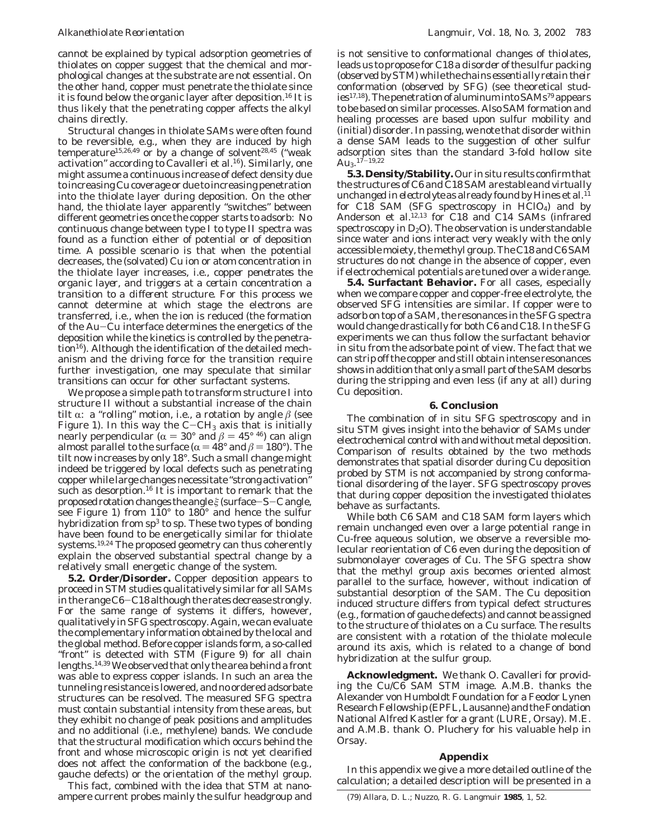cannot be explained by typical adsorption geometries of thiolates on copper suggest that the chemical and morphological changes at the substrate are not essential. On the other hand, copper must penetrate the thiolate since it is found below the organic layer after deposition.<sup>16</sup> It is thus likely that the penetrating copper affects the alkyl chains directly.

Structural changes in thiolate SAMs were often found to be reversible, e.g., when they are induced by high temperature<sup>15,26,49</sup> or by a change of solvent<sup>28,45</sup> ("weak activation" according to Cavalleri et al.<sup>16</sup>). Similarly, one might assume a continuous increase of defect density due to increasing Cu coverage or due to increasing penetration into the thiolate layer during deposition. On the other hand, the thiolate layer apparently "switches" between different geometries once the copper starts to adsorb: No continuous change between type I to type II spectra was found as a function either of potential or of deposition time. A possible scenario is that when the potential decreases, the (solvated) Cu ion or atom concentration in the thiolate layer increases, i.e., *copper penetrates the organic layer, and triggers at a certain concentration a transition to a different structure*. For this process we cannot determine at which stage the electrons are transferred, i.e., when the ion is reduced (the formation of the Au-Cu interface determines the energetics of the deposition while the kinetics is controlled by the penetration $16$ ). Although the identification of the detailed mechanism and the driving force for the transition require further investigation, one may speculate that similar transitions can occur for other surfactant systems.

We propose a simple path to transform structure I into structure II *without* a substantial increase of the chain tilt  $\alpha$ : a "rolling" motion, i.e., a rotation by angle  $\beta$  (see Figure 1). In this way the  $C-CH_3$  axis that is initially nearly perpendicular ( $\alpha = 30^{\circ}$  and  $\beta = 45^{\circ}$  <sup>46</sup>) can align almost parallel to the surface ( $\alpha = 48^\circ$  and  $\beta = 180^\circ$ ). The tilt now increases by only 18°. Such a small change might indeed be triggered by local defects such as penetrating copper while large changes necessitate "strong activation" such as desorption.<sup>16</sup> It is important to remark that the proposed rotation changes the angle  $\xi$  (surface-S-C angle, see Figure 1) from 110° to 180° and hence the sulfur hybridization from  $sp^3$  to sp. These two types of bonding have been found to be energetically similar for thiolate systems.19,24 The proposed geometry can thus coherently explain the observed substantial spectral change by a relatively small energetic change of the system.

**5.2. Order/Disorder.** Copper deposition appears to proceed in STM studies qualitatively similar for all SAMs in the range C6-C18 although the rates decrease strongly. For the same range of systems it differs, however, qualitatively in SFG spectroscopy. Again, we can evaluate the complementary information obtained by the local and the global method. Before copper islands form, a so-called "front" is detected with STM (Figure 9) for all chain lengths.14,39 We observed that only the area behind a front was able to express copper islands. In such an area the tunneling resistance is lowered, and no ordered adsorbate structures can be resolved. The measured SFG spectra must contain substantial intensity from these areas, but they exhibit no change of peak positions and amplitudes and no additional (i.e., methylene) bands. We conclude that the structural modification which occurs behind the front and whose microscopic origin is not yet clearified does not affect the conformation of the backbone (e.g., gauche defects) or the orientation of the methyl group.

This fact, combined with the idea that STM at nanoampere current probes mainly the sulfur headgroup and is not sensitive to conformational changes of thiolates, leads us to propose *for C18 a disorder of the sulfur packing* (*observed by STM*) *while the chains essentially retain their conformation* (*observed by SFG*) (see theoretical studies<sup>17,18</sup>). The penetration of aluminum into SAMs<sup>79</sup> appears to be based on similar processes. Also SAM formation and healing processes are based upon sulfur mobility and (initial) disorder. In passing, we note that disorder within a dense SAM leads to the suggestion of other sulfur adsorption sites than the standard 3-fold hollow site  $Au_3$ .<sup>17–19,22</sup>

**5.3. Density/Stability.** Our in situ results confirm that the structures of *C6 and C18 SAM are stable and virtually unchanged in electrolyte* as already found by Hines et al.<sup>11</sup> for C18 SAM (SFG spectroscopy in HClO4) and by Anderson et al.<sup>12,13</sup> for C18 and C14 SAMs (infrared spectroscopy in  $D_2O$ . The observation is understandable since water and ions interact very weakly with the only accessible moiety, the methyl group. The C18 and C6 SAM structures do not change in the absence of copper, even if electrochemical potentials are tuned over a wide range.

**5.4. Surfactant Behavior.** For all cases, especially when we compare copper and copper-free electrolyte, the observed SFG intensities are similar. If copper were to adsorb on top of a SAM, the resonances in the SFG spectra would change drastically for both C6 and C18. In the SFG experiments we can thus follow the surfactant behavior in situ from the adsorbate point of view. The fact that we can strip off the copper and still obtain intense resonances shows in addition that only a small part of the SAM desorbs during the stripping and even less (if any at all) during Cu deposition.

## **6. Conclusion**

The combination of in situ SFG spectroscopy and in situ STM gives insight into the behavior of SAMs under electrochemical control with and without metal deposition. Comparison of results obtained by the two methods demonstrates that spatial disorder during Cu deposition probed by STM is not accompanied by strong conformational disordering of the layer. SFG spectroscopy proves that during copper deposition the investigated thiolates behave as surfactants.

While both C6 SAM and C18 SAM form layers which remain unchanged even over a large potential range in Cu-free aqueous solution, we observe a reversible molecular reorientation of C6 even during the deposition of submonolayer coverages of Cu. The SFG spectra show that the methyl group axis becomes oriented almost parallel to the surface, however, without indication of substantial desorption of the SAM. The Cu deposition induced structure differs from typical defect structures (e.g., formation of gauche defects) and cannot be assigned to the structure of thiolates on a Cu surface. The results are consistent with a rotation of the thiolate molecule around its axis, which is related to a change of bond hybridization at the sulfur group.

**Acknowledgment.** We thank O. Cavalleri for providing the Cu/C6 SAM STM image. A.M.B. thanks the Alexander von Humboldt Foundation for a Feodor Lynen Research Fellowship (EPFL, Lausanne) and the Fondation National Alfred Kastler for a grant (LURE, Orsay). M.E. and A.M.B. thank O. Pluchery for his valuable help in Orsay.

## **Appendix**

In this appendix we give a more detailed outline of the calculation; a detailed description will be presented in a